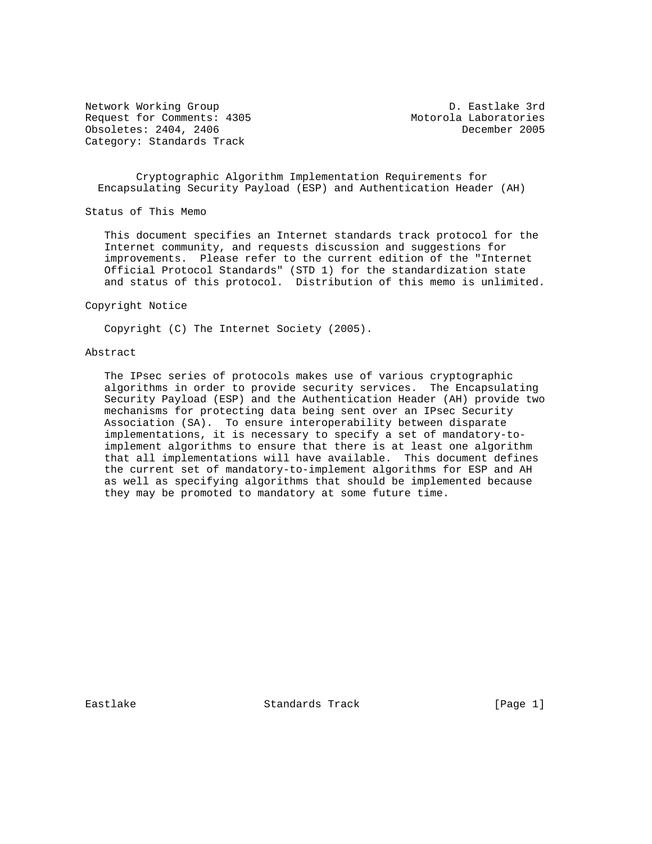Network Working Group D. Eastlake 3rd Request for Comments: 4305 Motorola Laboratories Obsoletes: 2404, 2406 December 2005 Category: Standards Track

 Cryptographic Algorithm Implementation Requirements for Encapsulating Security Payload (ESP) and Authentication Header (AH)

Status of This Memo

 This document specifies an Internet standards track protocol for the Internet community, and requests discussion and suggestions for improvements. Please refer to the current edition of the "Internet Official Protocol Standards" (STD 1) for the standardization state and status of this protocol. Distribution of this memo is unlimited.

Copyright Notice

Copyright (C) The Internet Society (2005).

#### Abstract

 The IPsec series of protocols makes use of various cryptographic algorithms in order to provide security services. The Encapsulating Security Payload (ESP) and the Authentication Header (AH) provide two mechanisms for protecting data being sent over an IPsec Security Association (SA). To ensure interoperability between disparate implementations, it is necessary to specify a set of mandatory-to implement algorithms to ensure that there is at least one algorithm that all implementations will have available. This document defines the current set of mandatory-to-implement algorithms for ESP and AH as well as specifying algorithms that should be implemented because they may be promoted to mandatory at some future time.

Eastlake Standards Track [Page 1]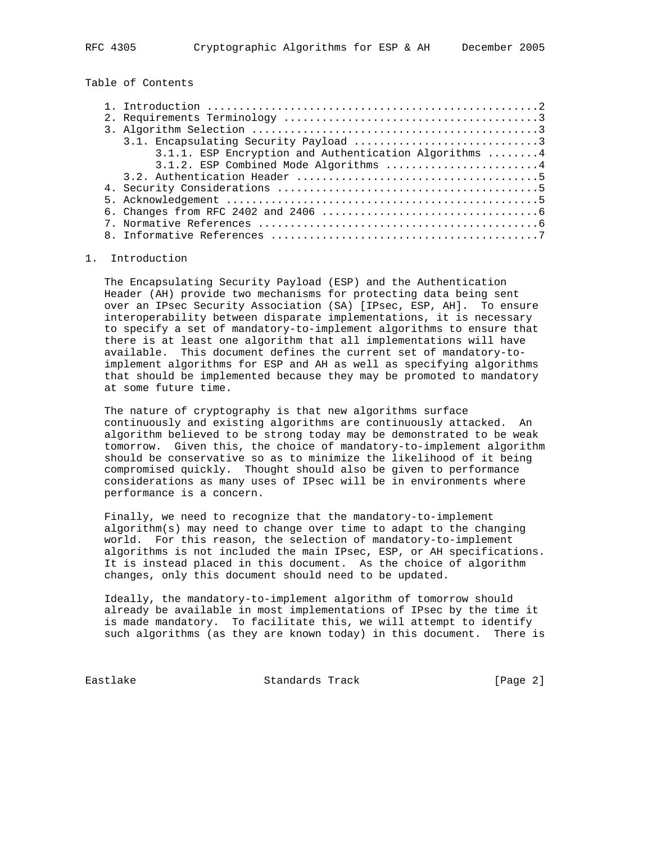# Table of Contents

| 3.1.1. ESP Encryption and Authentication Algorithms 4 |
|-------------------------------------------------------|
| 3.1.2. ESP Combined Mode Algorithms 4                 |
|                                                       |
|                                                       |
|                                                       |
|                                                       |
|                                                       |
|                                                       |

#### 1. Introduction

 The Encapsulating Security Payload (ESP) and the Authentication Header (AH) provide two mechanisms for protecting data being sent over an IPsec Security Association (SA) [IPsec, ESP, AH]. To ensure interoperability between disparate implementations, it is necessary to specify a set of mandatory-to-implement algorithms to ensure that there is at least one algorithm that all implementations will have available. This document defines the current set of mandatory-to implement algorithms for ESP and AH as well as specifying algorithms that should be implemented because they may be promoted to mandatory at some future time.

 The nature of cryptography is that new algorithms surface continuously and existing algorithms are continuously attacked. An algorithm believed to be strong today may be demonstrated to be weak tomorrow. Given this, the choice of mandatory-to-implement algorithm should be conservative so as to minimize the likelihood of it being compromised quickly. Thought should also be given to performance considerations as many uses of IPsec will be in environments where performance is a concern.

 Finally, we need to recognize that the mandatory-to-implement algorithm(s) may need to change over time to adapt to the changing world. For this reason, the selection of mandatory-to-implement algorithms is not included the main IPsec, ESP, or AH specifications. It is instead placed in this document. As the choice of algorithm changes, only this document should need to be updated.

 Ideally, the mandatory-to-implement algorithm of tomorrow should already be available in most implementations of IPsec by the time it is made mandatory. To facilitate this, we will attempt to identify such algorithms (as they are known today) in this document. There is

Eastlake Standards Track [Page 2]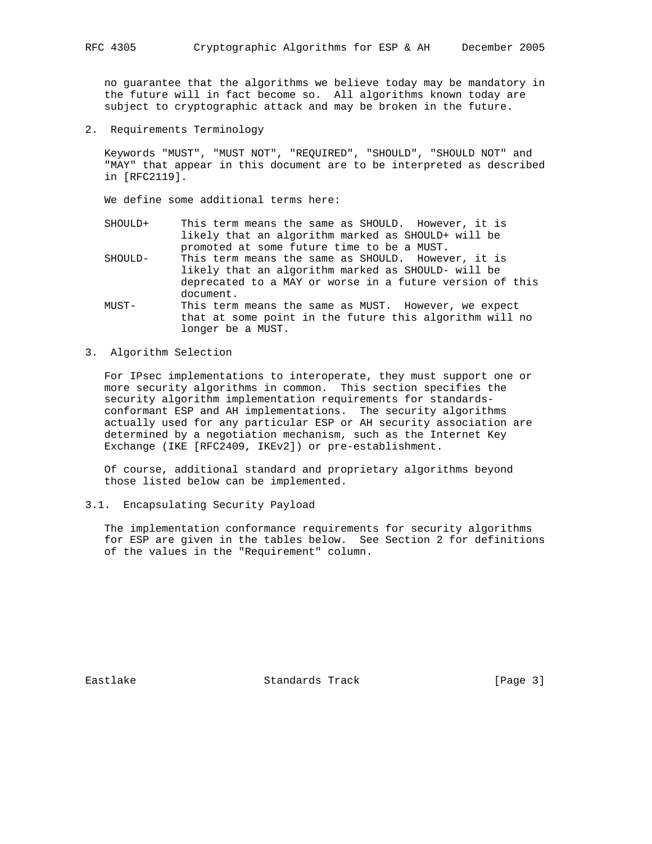no guarantee that the algorithms we believe today may be mandatory in the future will in fact become so. All algorithms known today are subject to cryptographic attack and may be broken in the future.

2. Requirements Terminology

 Keywords "MUST", "MUST NOT", "REQUIRED", "SHOULD", "SHOULD NOT" and "MAY" that appear in this document are to be interpreted as described in [RFC2119].

We define some additional terms here:

- SHOULD+ This term means the same as SHOULD. However, it is likely that an algorithm marked as SHOULD+ will be promoted at some future time to be a MUST.
- SHOULD- This term means the same as SHOULD. However, it is likely that an algorithm marked as SHOULD- will be deprecated to a MAY or worse in a future version of this document.
- MUST- This term means the same as MUST. However, we expect that at some point in the future this algorithm will no longer be a MUST.

### 3. Algorithm Selection

 For IPsec implementations to interoperate, they must support one or more security algorithms in common. This section specifies the security algorithm implementation requirements for standards conformant ESP and AH implementations. The security algorithms actually used for any particular ESP or AH security association are determined by a negotiation mechanism, such as the Internet Key Exchange (IKE [RFC2409, IKEv2]) or pre-establishment.

 Of course, additional standard and proprietary algorithms beyond those listed below can be implemented.

3.1. Encapsulating Security Payload

 The implementation conformance requirements for security algorithms for ESP are given in the tables below. See Section 2 for definitions of the values in the "Requirement" column.

Eastlake Standards Track [Page 3]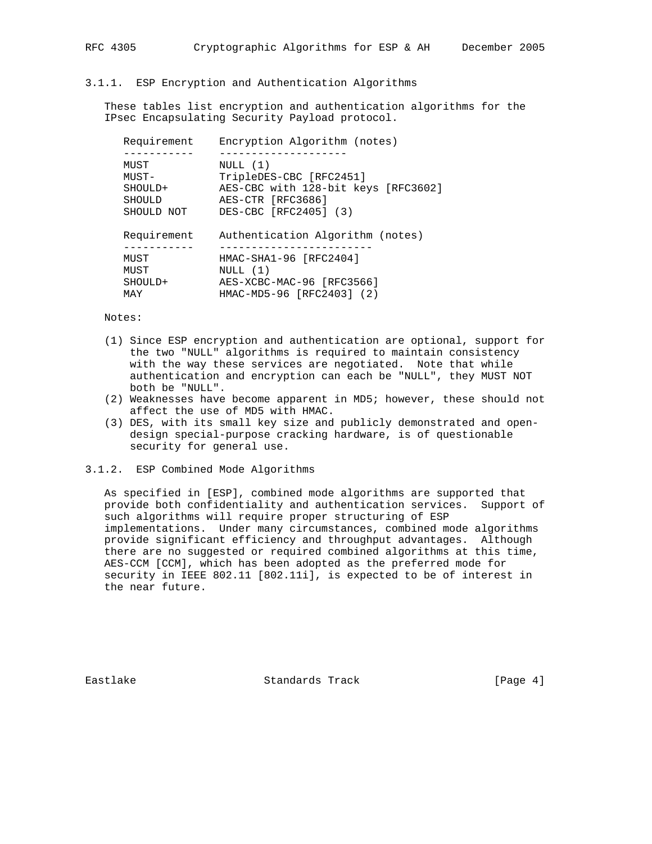#### 3.1.1. ESP Encryption and Authentication Algorithms

 These tables list encryption and authentication algorithms for the IPsec Encapsulating Security Payload protocol.

| Requirement   | Encryption Algorithm (notes)        |
|---------------|-------------------------------------|
|               |                                     |
| MUST          | NULL(1)                             |
| MUST-         | TripleDES-CBC [RFC2451]             |
| SHOULD+       | AES-CBC with 128-bit keys [RFC3602] |
| <b>SHOULD</b> | AES-CTR [RFC3686]                   |
| SHOULD NOT    | DES-CBC [RFC2405] (3)               |
| Requirement   | Authentication Algorithm (notes)    |
|               |                                     |
| MUST          | HMAC-SHA1-96 [RFC2404]              |
| MUST          | NULL (1)                            |
| SHOULD+       | AES-XCBC-MAC-96 [RFC3566]           |
| MAY           | HMAC-MD5-96 [RFC2403] (2)           |
|               |                                     |

Notes:

- (1) Since ESP encryption and authentication are optional, support for the two "NULL" algorithms is required to maintain consistency with the way these services are negotiated. Note that while authentication and encryption can each be "NULL", they MUST NOT both be "NULL".
- (2) Weaknesses have become apparent in MD5; however, these should not affect the use of MD5 with HMAC.
- (3) DES, with its small key size and publicly demonstrated and open design special-purpose cracking hardware, is of questionable security for general use.

#### 3.1.2. ESP Combined Mode Algorithms

 As specified in [ESP], combined mode algorithms are supported that provide both confidentiality and authentication services. Support of such algorithms will require proper structuring of ESP implementations. Under many circumstances, combined mode algorithms provide significant efficiency and throughput advantages. Although there are no suggested or required combined algorithms at this time, AES-CCM [CCM], which has been adopted as the preferred mode for security in IEEE 802.11 [802.11i], is expected to be of interest in the near future.

Eastlake Standards Track [Page 4]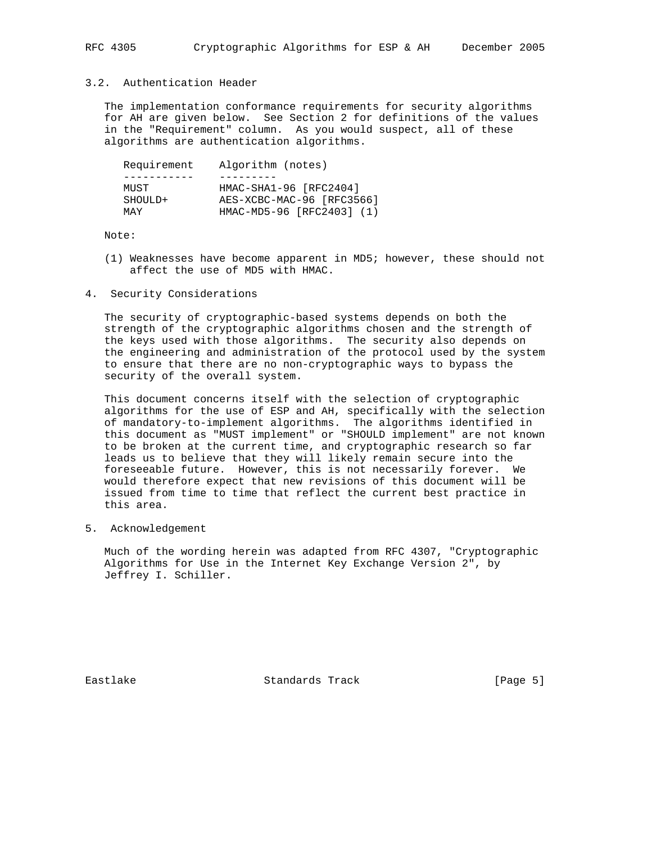## 3.2. Authentication Header

 The implementation conformance requirements for security algorithms for AH are given below. See Section 2 for definitions of the values in the "Requirement" column. As you would suspect, all of these algorithms are authentication algorithms.

| Requirement | Algorithm (notes)         |
|-------------|---------------------------|
|             |                           |
| MUST        | HMAC-SHA1-96 [RFC2404]    |
| SHOULD+     | AES-XCBC-MAC-96 [RFC3566] |
| MAY         | HMAC-MD5-96 [RFC2403] (1) |

Note:

- (1) Weaknesses have become apparent in MD5; however, these should not affect the use of MD5 with HMAC.
- 4. Security Considerations

 The security of cryptographic-based systems depends on both the strength of the cryptographic algorithms chosen and the strength of the keys used with those algorithms. The security also depends on the engineering and administration of the protocol used by the system to ensure that there are no non-cryptographic ways to bypass the security of the overall system.

 This document concerns itself with the selection of cryptographic algorithms for the use of ESP and AH, specifically with the selection of mandatory-to-implement algorithms. The algorithms identified in this document as "MUST implement" or "SHOULD implement" are not known to be broken at the current time, and cryptographic research so far leads us to believe that they will likely remain secure into the foreseeable future. However, this is not necessarily forever. We would therefore expect that new revisions of this document will be issued from time to time that reflect the current best practice in this area.

5. Acknowledgement

 Much of the wording herein was adapted from RFC 4307, "Cryptographic Algorithms for Use in the Internet Key Exchange Version 2", by Jeffrey I. Schiller.

Eastlake Standards Track [Page 5]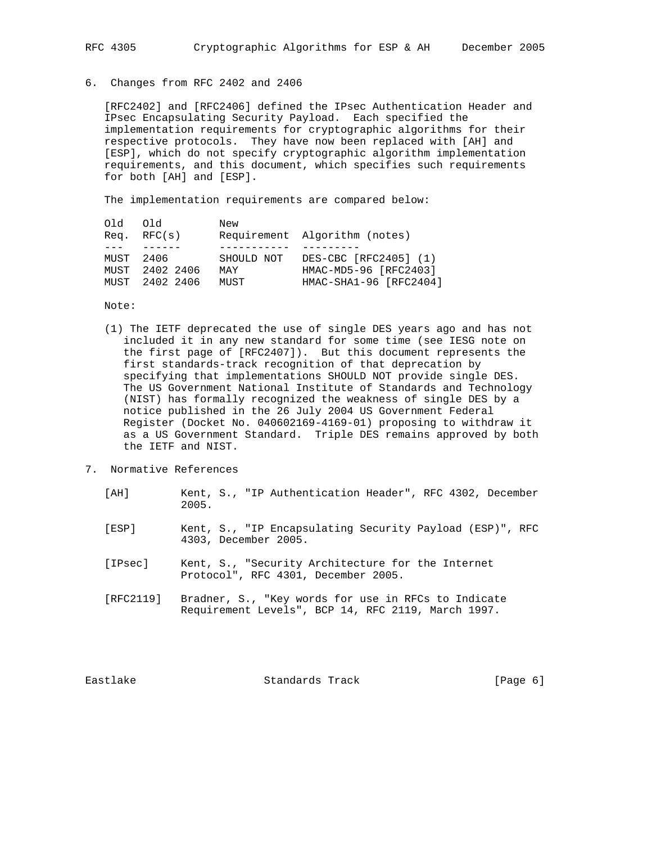# 6. Changes from RFC 2402 and 2406

 [RFC2402] and [RFC2406] defined the IPsec Authentication Header and IPsec Encapsulating Security Payload. Each specified the implementation requirements for cryptographic algorithms for their respective protocols. They have now been replaced with [AH] and [ESP], which do not specify cryptographic algorithm implementation requirements, and this document, which specifies such requirements for both [AH] and [ESP].

The implementation requirements are compared below:

| old old |                  | New        |                               |
|---------|------------------|------------|-------------------------------|
|         | $Req.$ RFC $(s)$ |            | Requirement Algorithm (notes) |
|         | MIIST 2406       | SHOULD NOT | DES-CBC [RFC2405] (1)         |
|         | MUST 2402 2406   | MAY        | HMAC-MD5-96 [RFC2403]         |
|         | MUST 2402 2406   | MUST       | HMAC-SHA1-96 [RFC2404]        |

Note:

- (1) The IETF deprecated the use of single DES years ago and has not included it in any new standard for some time (see IESG note on the first page of [RFC2407]). But this document represents the first standards-track recognition of that deprecation by specifying that implementations SHOULD NOT provide single DES. The US Government National Institute of Standards and Technology (NIST) has formally recognized the weakness of single DES by a notice published in the 26 July 2004 US Government Federal Register (Docket No. 040602169-4169-01) proposing to withdraw it as a US Government Standard. Triple DES remains approved by both the IETF and NIST.
- 7. Normative References
	- [AH] Kent, S., "IP Authentication Header", RFC 4302, December 2005.
	- [ESP] Kent, S., "IP Encapsulating Security Payload (ESP)", RFC 4303, December 2005.
	- [IPsec] Kent, S., "Security Architecture for the Internet Protocol", RFC 4301, December 2005.
	- [RFC2119] Bradner, S., "Key words for use in RFCs to Indicate Requirement Levels", BCP 14, RFC 2119, March 1997.

Eastlake Standards Track [Page 6]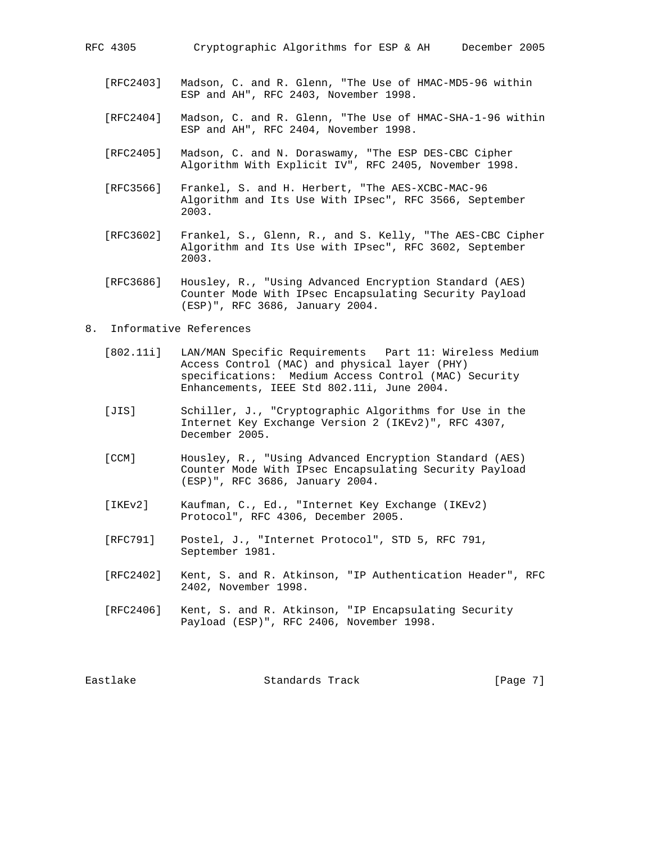- [RFC2403] Madson, C. and R. Glenn, "The Use of HMAC-MD5-96 within ESP and AH", RFC 2403, November 1998.
- [RFC2404] Madson, C. and R. Glenn, "The Use of HMAC-SHA-1-96 within ESP and AH", RFC 2404, November 1998.
- [RFC2405] Madson, C. and N. Doraswamy, "The ESP DES-CBC Cipher Algorithm With Explicit IV", RFC 2405, November 1998.
- [RFC3566] Frankel, S. and H. Herbert, "The AES-XCBC-MAC-96 Algorithm and Its Use With IPsec", RFC 3566, September 2003.
- [RFC3602] Frankel, S., Glenn, R., and S. Kelly, "The AES-CBC Cipher Algorithm and Its Use with IPsec", RFC 3602, September 2003.
- [RFC3686] Housley, R., "Using Advanced Encryption Standard (AES) Counter Mode With IPsec Encapsulating Security Payload (ESP)", RFC 3686, January 2004.
- 8. Informative References
	- [802.11i] LAN/MAN Specific Requirements Part 11: Wireless Medium Access Control (MAC) and physical layer (PHY) specifications: Medium Access Control (MAC) Security Enhancements, IEEE Std 802.11i, June 2004.
	- [JIS] Schiller, J., "Cryptographic Algorithms for Use in the Internet Key Exchange Version 2 (IKEv2)", RFC 4307, December 2005.
	- [CCM] Housley, R., "Using Advanced Encryption Standard (AES) Counter Mode With IPsec Encapsulating Security Payload (ESP)", RFC 3686, January 2004.
	- [IKEv2] Kaufman, C., Ed., "Internet Key Exchange (IKEv2) Protocol", RFC 4306, December 2005.
	- [RFC791] Postel, J., "Internet Protocol", STD 5, RFC 791, September 1981.
	- [RFC2402] Kent, S. and R. Atkinson, "IP Authentication Header", RFC 2402, November 1998.
	- [RFC2406] Kent, S. and R. Atkinson, "IP Encapsulating Security Payload (ESP)", RFC 2406, November 1998.

Eastlake Standards Track [Page 7]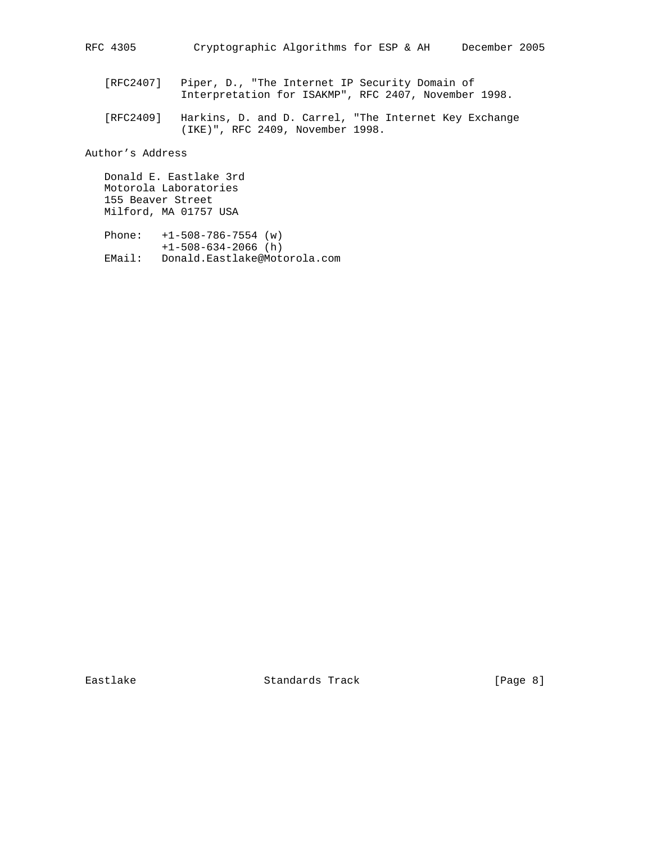- [RFC2407] Piper, D., "The Internet IP Security Domain of Interpretation for ISAKMP", RFC 2407, November 1998.
- [RFC2409] Harkins, D. and D. Carrel, "The Internet Key Exchange (IKE)", RFC 2409, November 1998.

Author's Address

 Donald E. Eastlake 3rd Motorola Laboratories 155 Beaver Street Milford, MA 01757 USA

 Phone: +1-508-786-7554 (w) +1-508-634-2066 (h) EMail: Donald.Eastlake@Motorola.com

Eastlake Standards Track [Page 8]